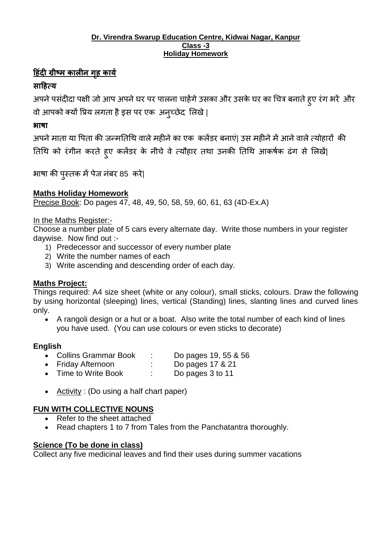#### **Dr. Virendra Swarup Education Centre, Kidwai Nagar, Kanpur Class -3 Holiday Homework**

## **ह िंदी ग्रीष्म कालीन ग ृ कार्य**

# **साह त्र्**

अपने पसंदीदा पक्षी जो आप अपने घर पर पालना चाहेंगे उसका और उसके घर का चित्र बनाते हुए रंग भरें और वो आपको क्यों प्रिय लगता है इस पर एक अन्च्छेद लिखे |

## **भाषा**

अपने माता या पिता की जन्मतिथि वाले महीने का एक कलेंडर बनाएं| उस महीने में आने वाले त्योहारों की ततचि को रंगीन करते हुए कलेंडर के नीचे वे त्यौहार तिा उनकी ततचि आकर्कष ढंग से ललखें|

भार्ा की पुस्तक मेंपेज नंबर 85 करे|

## **Maths Holiday Homework**

Precise Book: Do pages 47, 48, 49, 50, 58, 59, 60, 61, 63 (4D-Ex.A)

#### In the Maths Register:-

Choose a number plate of 5 cars every alternate day. Write those numbers in your register daywise. Now find out :-

- 1) Predecessor and successor of every number plate
- 2) Write the number names of each
- 3) Write ascending and descending order of each day.

## **Maths Project:**

Things required: A4 size sheet (white or any colour), small sticks, colours. Draw the following by using horizontal (sleeping) lines, vertical (Standing) lines, slanting lines and curved lines only.

 A rangoli design or a hut or a boat. Also write the total number of each kind of lines you have used. (You can use colours or even sticks to decorate)

#### **English**

- Collins Grammar Book : Do pages 19, 55 & 56<br>
Friday Afternoon : Do pages 17 & 21<br>
Time to Write Book : Do pages 3 to 11
- Friday Afternoon : Do pages 17 & 21
- Time to Write Book : Do pages 3 to 11
- Activity : (Do using a half chart paper)

## **FUN WITH COLLECTIVE NOUNS**

- Refer to the sheet attached
- Read chapters 1 to 7 from Tales from the Panchatantra thoroughly.

## **Science (To be done in class)**

Collect any five medicinal leaves and find their uses during summer vacations